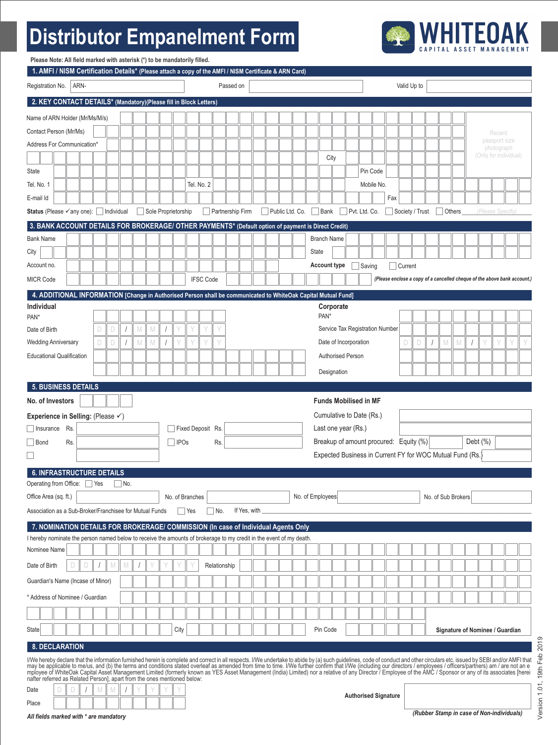# **Distributor Empanelment Form**



| Please Note: All field marked with asterisk (*) to be mandatorily filled.                                                                                                                                                                                                                                                                                                                                                                                                                                                                                                                                                                                            |                                                                                                                                            |  |   |   |            |   |                     |  |      |                   |                  |              |                  |                                                       |  |                 |              |                    |                                                           |  |               |            |                      |                 |   |        |                    |  |                                                                          |  |
|----------------------------------------------------------------------------------------------------------------------------------------------------------------------------------------------------------------------------------------------------------------------------------------------------------------------------------------------------------------------------------------------------------------------------------------------------------------------------------------------------------------------------------------------------------------------------------------------------------------------------------------------------------------------|--------------------------------------------------------------------------------------------------------------------------------------------|--|---|---|------------|---|---------------------|--|------|-------------------|------------------|--------------|------------------|-------------------------------------------------------|--|-----------------|--------------|--------------------|-----------------------------------------------------------|--|---------------|------------|----------------------|-----------------|---|--------|--------------------|--|--------------------------------------------------------------------------|--|
| Registration No.                                                                                                                                                                                                                                                                                                                                                                                                                                                                                                                                                                                                                                                     | 1. AMFI / NISM Certification Details* (Please attach a copy of the AMFI / NISM Certificate & ARN Card)<br>ARN-<br>Passed on<br>Valid Up to |  |   |   |            |   |                     |  |      |                   |                  |              |                  |                                                       |  |                 |              |                    |                                                           |  |               |            |                      |                 |   |        |                    |  |                                                                          |  |
| 2. KEY CONTACT DETAILS* (Mandatory)(Please fill in Block Letters)                                                                                                                                                                                                                                                                                                                                                                                                                                                                                                                                                                                                    |                                                                                                                                            |  |   |   |            |   |                     |  |      |                   |                  |              |                  |                                                       |  |                 |              |                    |                                                           |  |               |            |                      |                 |   |        |                    |  |                                                                          |  |
|                                                                                                                                                                                                                                                                                                                                                                                                                                                                                                                                                                                                                                                                      |                                                                                                                                            |  |   |   |            |   |                     |  |      |                   |                  |              |                  |                                                       |  |                 |              |                    |                                                           |  |               |            |                      |                 |   |        |                    |  |                                                                          |  |
| Name of ARN Holder (Mr/Ms/M/s)<br>Contact Person (Mr/Ms)                                                                                                                                                                                                                                                                                                                                                                                                                                                                                                                                                                                                             |                                                                                                                                            |  |   |   |            |   |                     |  |      |                   |                  |              |                  |                                                       |  |                 |              |                    |                                                           |  |               |            |                      |                 |   |        |                    |  |                                                                          |  |
| Address For Communication*                                                                                                                                                                                                                                                                                                                                                                                                                                                                                                                                                                                                                                           |                                                                                                                                            |  |   |   |            |   |                     |  |      |                   |                  |              |                  |                                                       |  |                 |              |                    |                                                           |  |               |            |                      |                 |   |        |                    |  | Recent<br>passport size                                                  |  |
|                                                                                                                                                                                                                                                                                                                                                                                                                                                                                                                                                                                                                                                                      |                                                                                                                                            |  |   |   |            |   |                     |  |      |                   |                  |              |                  |                                                       |  |                 |              | City               |                                                           |  |               |            |                      |                 |   |        |                    |  | photograph<br>(Only for individual)                                      |  |
| <b>State</b>                                                                                                                                                                                                                                                                                                                                                                                                                                                                                                                                                                                                                                                         |                                                                                                                                            |  |   |   |            |   |                     |  |      |                   |                  |              |                  |                                                       |  |                 |              |                    |                                                           |  |               | Pin Code   |                      |                 |   |        |                    |  |                                                                          |  |
| Tel. No. 1                                                                                                                                                                                                                                                                                                                                                                                                                                                                                                                                                                                                                                                           |                                                                                                                                            |  |   |   |            |   |                     |  |      | Tel. No. 2        |                  |              |                  |                                                       |  |                 |              |                    |                                                           |  |               | Mobile No. |                      |                 |   |        |                    |  |                                                                          |  |
| E-mail Id                                                                                                                                                                                                                                                                                                                                                                                                                                                                                                                                                                                                                                                            |                                                                                                                                            |  |   |   |            |   |                     |  |      |                   |                  |              |                  |                                                       |  |                 |              |                    |                                                           |  |               |            | Fax                  |                 |   |        |                    |  |                                                                          |  |
| Status (Please ∕any one): Individual                                                                                                                                                                                                                                                                                                                                                                                                                                                                                                                                                                                                                                 |                                                                                                                                            |  |   |   |            |   | Sole Proprietorship |  |      |                   |                  |              | Partnership Firm |                                                       |  | Public Ltd. Co. |              | Bank               |                                                           |  | Pvt. Ltd. Co. |            |                      | Society / Trust |   | Others |                    |  | (Please Specify)                                                         |  |
| 3. BANK ACCOUNT DETAILS FOR BROKERAGE/ OTHER PAYMENTS* (Default option of payment is Direct Credit)                                                                                                                                                                                                                                                                                                                                                                                                                                                                                                                                                                  |                                                                                                                                            |  |   |   |            |   |                     |  |      |                   |                  |              |                  |                                                       |  |                 |              |                    |                                                           |  |               |            |                      |                 |   |        |                    |  |                                                                          |  |
| <b>Bank Name</b>                                                                                                                                                                                                                                                                                                                                                                                                                                                                                                                                                                                                                                                     |                                                                                                                                            |  |   |   |            |   |                     |  |      |                   |                  |              |                  |                                                       |  |                 |              | <b>Branch Name</b> |                                                           |  |               |            |                      |                 |   |        |                    |  |                                                                          |  |
| City                                                                                                                                                                                                                                                                                                                                                                                                                                                                                                                                                                                                                                                                 |                                                                                                                                            |  |   |   |            |   |                     |  |      |                   |                  |              |                  |                                                       |  |                 | <b>State</b> |                    |                                                           |  |               |            |                      |                 |   |        |                    |  |                                                                          |  |
| Account no.                                                                                                                                                                                                                                                                                                                                                                                                                                                                                                                                                                                                                                                          |                                                                                                                                            |  |   |   |            |   |                     |  |      |                   |                  |              |                  |                                                       |  |                 |              |                    | <b>Account type</b>                                       |  | Saving        |            |                      | Current         |   |        |                    |  |                                                                          |  |
| <b>MICR Code</b>                                                                                                                                                                                                                                                                                                                                                                                                                                                                                                                                                                                                                                                     |                                                                                                                                            |  |   |   |            |   |                     |  |      |                   | <b>IFSC Code</b> |              |                  |                                                       |  |                 |              |                    |                                                           |  |               |            |                      |                 |   |        |                    |  | (Please enclose a copy of a cancelled cheque of the above bank account.) |  |
| 4. ADDITIONAL INFORMATION [Change in Authorised Person shall be communicated to WhiteOak Capital Mutual Fund]                                                                                                                                                                                                                                                                                                                                                                                                                                                                                                                                                        |                                                                                                                                            |  |   |   |            |   |                     |  |      |                   |                  |              |                  |                                                       |  |                 |              |                    |                                                           |  |               |            |                      |                 |   |        |                    |  |                                                                          |  |
| Individual                                                                                                                                                                                                                                                                                                                                                                                                                                                                                                                                                                                                                                                           |                                                                                                                                            |  |   |   |            |   |                     |  |      |                   |                  |              |                  |                                                       |  |                 |              |                    | Corporate                                                 |  |               |            |                      |                 |   |        |                    |  |                                                                          |  |
| PAN*                                                                                                                                                                                                                                                                                                                                                                                                                                                                                                                                                                                                                                                                 |                                                                                                                                            |  |   |   |            |   |                     |  |      |                   |                  |              |                  |                                                       |  |                 |              | PAN*               |                                                           |  |               |            |                      |                 |   |        |                    |  |                                                                          |  |
| Date of Birth                                                                                                                                                                                                                                                                                                                                                                                                                                                                                                                                                                                                                                                        |                                                                                                                                            |  | D | D |            | M | $\mathbb M$         |  |      |                   |                  |              |                  |                                                       |  |                 |              |                    | Service Tax Registration Number                           |  |               |            |                      |                 |   |        |                    |  |                                                                          |  |
| <b>Wedding Anniversary</b>                                                                                                                                                                                                                                                                                                                                                                                                                                                                                                                                                                                                                                           |                                                                                                                                            |  | D | D |            | M | M                   |  |      |                   |                  |              |                  |                                                       |  |                 |              |                    | Date of Incorporation                                     |  |               |            |                      | D               | D | M      | M                  |  |                                                                          |  |
| <b>Educational Qualification</b>                                                                                                                                                                                                                                                                                                                                                                                                                                                                                                                                                                                                                                     |                                                                                                                                            |  |   |   |            |   |                     |  |      |                   |                  |              |                  |                                                       |  |                 |              |                    | <b>Authorised Person</b>                                  |  |               |            |                      |                 |   |        |                    |  |                                                                          |  |
|                                                                                                                                                                                                                                                                                                                                                                                                                                                                                                                                                                                                                                                                      |                                                                                                                                            |  |   |   |            |   |                     |  |      |                   |                  |              |                  |                                                       |  |                 |              |                    | Designation                                               |  |               |            |                      |                 |   |        |                    |  |                                                                          |  |
| 5. BUSINESS DETAILS                                                                                                                                                                                                                                                                                                                                                                                                                                                                                                                                                                                                                                                  |                                                                                                                                            |  |   |   |            |   |                     |  |      |                   |                  |              |                  |                                                       |  |                 |              |                    |                                                           |  |               |            |                      |                 |   |        |                    |  |                                                                          |  |
|                                                                                                                                                                                                                                                                                                                                                                                                                                                                                                                                                                                                                                                                      | No. of Investors<br><b>Funds Mobilised in MF</b>                                                                                           |  |   |   |            |   |                     |  |      |                   |                  |              |                  |                                                       |  |                 |              |                    |                                                           |  |               |            |                      |                 |   |        |                    |  |                                                                          |  |
| Experience in Selling: (Please √)                                                                                                                                                                                                                                                                                                                                                                                                                                                                                                                                                                                                                                    |                                                                                                                                            |  |   |   |            |   |                     |  |      |                   |                  |              |                  |                                                       |  |                 |              |                    | Cumulative to Date (Rs.)                                  |  |               |            |                      |                 |   |        |                    |  |                                                                          |  |
| Insurance                                                                                                                                                                                                                                                                                                                                                                                                                                                                                                                                                                                                                                                            | Rs.                                                                                                                                        |  |   |   |            |   |                     |  |      | Fixed Deposit Rs. |                  |              |                  |                                                       |  |                 |              |                    | Last one year (Rs.)                                       |  |               |            |                      |                 |   |        |                    |  |                                                                          |  |
| Bond                                                                                                                                                                                                                                                                                                                                                                                                                                                                                                                                                                                                                                                                 | Rs.                                                                                                                                        |  |   |   |            |   |                     |  | IPOs |                   |                  | Rs.          |                  | Breakup of amount procured: Equity (%)<br>Debt $(\%)$ |  |                 |              |                    |                                                           |  |               |            |                      |                 |   |        |                    |  |                                                                          |  |
|                                                                                                                                                                                                                                                                                                                                                                                                                                                                                                                                                                                                                                                                      |                                                                                                                                            |  |   |   |            |   |                     |  |      |                   |                  |              |                  |                                                       |  |                 |              |                    | Expected Business in Current FY for WOC Mutual Fund (Rs.) |  |               |            |                      |                 |   |        |                    |  |                                                                          |  |
| <b>6. INFRASTRUCTURE DETAILS</b>                                                                                                                                                                                                                                                                                                                                                                                                                                                                                                                                                                                                                                     |                                                                                                                                            |  |   |   |            |   |                     |  |      |                   |                  |              |                  |                                                       |  |                 |              |                    |                                                           |  |               |            |                      |                 |   |        |                    |  |                                                                          |  |
| Operating from Office: □ Yes                                                                                                                                                                                                                                                                                                                                                                                                                                                                                                                                                                                                                                         |                                                                                                                                            |  |   |   | $\Box$ No. |   |                     |  |      |                   |                  |              |                  |                                                       |  |                 |              |                    |                                                           |  |               |            |                      |                 |   |        |                    |  |                                                                          |  |
| Office Area (sq. ft.)                                                                                                                                                                                                                                                                                                                                                                                                                                                                                                                                                                                                                                                |                                                                                                                                            |  |   |   |            |   |                     |  |      | No. of Branches   |                  |              |                  |                                                       |  |                 |              | No. of Employees   |                                                           |  |               |            |                      |                 |   |        | No. of Sub Brokers |  |                                                                          |  |
| Association as a Sub-Broker/Franchisee for Mutual Funds                                                                                                                                                                                                                                                                                                                                                                                                                                                                                                                                                                                                              |                                                                                                                                            |  |   |   |            |   |                     |  |      | $ $ Yes           |                  | $\neg$ No.   | If Yes, with _   |                                                       |  |                 |              |                    |                                                           |  |               |            |                      |                 |   |        |                    |  |                                                                          |  |
| 7. NOMINATION DETAILS FOR BROKERAGE/ COMMISSION (In case of Individual Agents Only                                                                                                                                                                                                                                                                                                                                                                                                                                                                                                                                                                                   |                                                                                                                                            |  |   |   |            |   |                     |  |      |                   |                  |              |                  |                                                       |  |                 |              |                    |                                                           |  |               |            |                      |                 |   |        |                    |  |                                                                          |  |
| I hereby nominate the person named below to receive the amounts of brokerage to my credit in the event of my death.                                                                                                                                                                                                                                                                                                                                                                                                                                                                                                                                                  |                                                                                                                                            |  |   |   |            |   |                     |  |      |                   |                  |              |                  |                                                       |  |                 |              |                    |                                                           |  |               |            |                      |                 |   |        |                    |  |                                                                          |  |
| Nominee Name                                                                                                                                                                                                                                                                                                                                                                                                                                                                                                                                                                                                                                                         |                                                                                                                                            |  |   |   |            |   |                     |  |      |                   |                  |              |                  |                                                       |  |                 |              |                    |                                                           |  |               |            |                      |                 |   |        |                    |  |                                                                          |  |
| Date of Birth                                                                                                                                                                                                                                                                                                                                                                                                                                                                                                                                                                                                                                                        |                                                                                                                                            |  |   |   |            |   |                     |  |      |                   |                  | Relationship |                  |                                                       |  |                 |              |                    |                                                           |  |               |            |                      |                 |   |        |                    |  |                                                                          |  |
| Guardian's Name (Incase of Minor)                                                                                                                                                                                                                                                                                                                                                                                                                                                                                                                                                                                                                                    |                                                                                                                                            |  |   |   |            |   |                     |  |      |                   |                  |              |                  |                                                       |  |                 |              |                    |                                                           |  |               |            |                      |                 |   |        |                    |  |                                                                          |  |
| * Address of Nominee / Guardian                                                                                                                                                                                                                                                                                                                                                                                                                                                                                                                                                                                                                                      |                                                                                                                                            |  |   |   |            |   |                     |  |      |                   |                  |              |                  |                                                       |  |                 |              |                    |                                                           |  |               |            |                      |                 |   |        |                    |  |                                                                          |  |
|                                                                                                                                                                                                                                                                                                                                                                                                                                                                                                                                                                                                                                                                      |                                                                                                                                            |  |   |   |            |   |                     |  |      |                   |                  |              |                  |                                                       |  |                 |              |                    |                                                           |  |               |            |                      |                 |   |        |                    |  |                                                                          |  |
| State                                                                                                                                                                                                                                                                                                                                                                                                                                                                                                                                                                                                                                                                |                                                                                                                                            |  |   |   |            |   |                     |  | City |                   |                  |              |                  |                                                       |  |                 |              | Pin Code           |                                                           |  |               |            |                      |                 |   |        |                    |  | Signature of Nominee / Guardian                                          |  |
| 8. DECLARATION                                                                                                                                                                                                                                                                                                                                                                                                                                                                                                                                                                                                                                                       |                                                                                                                                            |  |   |   |            |   |                     |  |      |                   |                  |              |                  |                                                       |  |                 |              |                    |                                                           |  |               |            |                      |                 |   |        |                    |  |                                                                          |  |
| I/We hereby declare that the information furnished herein is complete and correct in all respects. I/We undertake to abide by (a) such guidelines, code of conduct and other circulars etc. issued by SEBI and/or AMFI that<br>may be applicable to me/us, and (b) the terms and conditions stated overleaf as amended from time to time. I/We further confirm that I/We (including our directors / employees / officers/partners) am / are not an e<br>mployee of WhiteOak Capital Asset Management Limited (formerly known as YES Asset Management (India) Limited) nor a relative of any Director / Employee of the AMC / Sponsor or any of its associates [herei |                                                                                                                                            |  |   |   |            |   |                     |  |      |                   |                  |              |                  |                                                       |  |                 |              |                    |                                                           |  |               |            |                      |                 |   |        |                    |  |                                                                          |  |
| nafter referred as Related Person], apart from the ones mentioned below:<br>Date                                                                                                                                                                                                                                                                                                                                                                                                                                                                                                                                                                                     |                                                                                                                                            |  |   |   |            |   |                     |  |      |                   |                  |              |                  |                                                       |  |                 |              |                    |                                                           |  |               |            | Authorized Signature |                 |   |        |                    |  |                                                                          |  |

Place

**Authorised Signature** 

Version 1.01, 19th Feb 2019 Version 1.01, 19th Feb 2019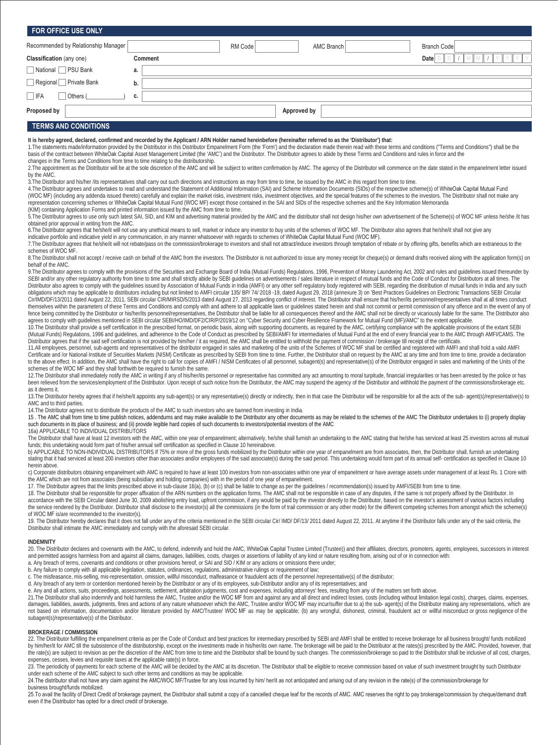| FOR OFFICE USE ONLY                                                                                                                                                                                                                                                                                                                                                                                                                                                                                                                                                                                                                                                                                                                                                                                                                                                                                                                                                                                                                                       |                                                                                                                           |         |                   |                                                                                                                                                                                                                                                                                                                                                                                                                                                                                                                                                                                                                                                                                                                                                                                                                                                                                                                                                                                                                                                                                                                                                                                                                                                                                                                                                                                                                                                                                                                                                                                                                                                                                                                                                                                                                                                                                                                                                                                                                                                                                                                                                             |  |  |  |  |  |  |  |
|-----------------------------------------------------------------------------------------------------------------------------------------------------------------------------------------------------------------------------------------------------------------------------------------------------------------------------------------------------------------------------------------------------------------------------------------------------------------------------------------------------------------------------------------------------------------------------------------------------------------------------------------------------------------------------------------------------------------------------------------------------------------------------------------------------------------------------------------------------------------------------------------------------------------------------------------------------------------------------------------------------------------------------------------------------------|---------------------------------------------------------------------------------------------------------------------------|---------|-------------------|-------------------------------------------------------------------------------------------------------------------------------------------------------------------------------------------------------------------------------------------------------------------------------------------------------------------------------------------------------------------------------------------------------------------------------------------------------------------------------------------------------------------------------------------------------------------------------------------------------------------------------------------------------------------------------------------------------------------------------------------------------------------------------------------------------------------------------------------------------------------------------------------------------------------------------------------------------------------------------------------------------------------------------------------------------------------------------------------------------------------------------------------------------------------------------------------------------------------------------------------------------------------------------------------------------------------------------------------------------------------------------------------------------------------------------------------------------------------------------------------------------------------------------------------------------------------------------------------------------------------------------------------------------------------------------------------------------------------------------------------------------------------------------------------------------------------------------------------------------------------------------------------------------------------------------------------------------------------------------------------------------------------------------------------------------------------------------------------------------------------------------------------------------------|--|--|--|--|--|--|--|
| Recommended by Relationship Manager                                                                                                                                                                                                                                                                                                                                                                                                                                                                                                                                                                                                                                                                                                                                                                                                                                                                                                                                                                                                                       |                                                                                                                           | RM Code | <b>AMC Branch</b> | <b>Branch Code</b>                                                                                                                                                                                                                                                                                                                                                                                                                                                                                                                                                                                                                                                                                                                                                                                                                                                                                                                                                                                                                                                                                                                                                                                                                                                                                                                                                                                                                                                                                                                                                                                                                                                                                                                                                                                                                                                                                                                                                                                                                                                                                                                                          |  |  |  |  |  |  |  |
| <b>Classification</b> (any one)                                                                                                                                                                                                                                                                                                                                                                                                                                                                                                                                                                                                                                                                                                                                                                                                                                                                                                                                                                                                                           | Comment<br>Date D                                                                                                         |         |                   |                                                                                                                                                                                                                                                                                                                                                                                                                                                                                                                                                                                                                                                                                                                                                                                                                                                                                                                                                                                                                                                                                                                                                                                                                                                                                                                                                                                                                                                                                                                                                                                                                                                                                                                                                                                                                                                                                                                                                                                                                                                                                                                                                             |  |  |  |  |  |  |  |
| National PSU Bank                                                                                                                                                                                                                                                                                                                                                                                                                                                                                                                                                                                                                                                                                                                                                                                                                                                                                                                                                                                                                                         | a.                                                                                                                        |         |                   |                                                                                                                                                                                                                                                                                                                                                                                                                                                                                                                                                                                                                                                                                                                                                                                                                                                                                                                                                                                                                                                                                                                                                                                                                                                                                                                                                                                                                                                                                                                                                                                                                                                                                                                                                                                                                                                                                                                                                                                                                                                                                                                                                             |  |  |  |  |  |  |  |
| Regional Private Bank                                                                                                                                                                                                                                                                                                                                                                                                                                                                                                                                                                                                                                                                                                                                                                                                                                                                                                                                                                                                                                     | b.                                                                                                                        |         |                   |                                                                                                                                                                                                                                                                                                                                                                                                                                                                                                                                                                                                                                                                                                                                                                                                                                                                                                                                                                                                                                                                                                                                                                                                                                                                                                                                                                                                                                                                                                                                                                                                                                                                                                                                                                                                                                                                                                                                                                                                                                                                                                                                                             |  |  |  |  |  |  |  |
| $ $ IFA<br>Others (                                                                                                                                                                                                                                                                                                                                                                                                                                                                                                                                                                                                                                                                                                                                                                                                                                                                                                                                                                                                                                       | c.                                                                                                                        |         |                   |                                                                                                                                                                                                                                                                                                                                                                                                                                                                                                                                                                                                                                                                                                                                                                                                                                                                                                                                                                                                                                                                                                                                                                                                                                                                                                                                                                                                                                                                                                                                                                                                                                                                                                                                                                                                                                                                                                                                                                                                                                                                                                                                                             |  |  |  |  |  |  |  |
| Proposed by                                                                                                                                                                                                                                                                                                                                                                                                                                                                                                                                                                                                                                                                                                                                                                                                                                                                                                                                                                                                                                               |                                                                                                                           |         | Approved by       |                                                                                                                                                                                                                                                                                                                                                                                                                                                                                                                                                                                                                                                                                                                                                                                                                                                                                                                                                                                                                                                                                                                                                                                                                                                                                                                                                                                                                                                                                                                                                                                                                                                                                                                                                                                                                                                                                                                                                                                                                                                                                                                                                             |  |  |  |  |  |  |  |
| <b>TERMS AND CONDITIONS</b>                                                                                                                                                                                                                                                                                                                                                                                                                                                                                                                                                                                                                                                                                                                                                                                                                                                                                                                                                                                                                               |                                                                                                                           |         |                   |                                                                                                                                                                                                                                                                                                                                                                                                                                                                                                                                                                                                                                                                                                                                                                                                                                                                                                                                                                                                                                                                                                                                                                                                                                                                                                                                                                                                                                                                                                                                                                                                                                                                                                                                                                                                                                                                                                                                                                                                                                                                                                                                                             |  |  |  |  |  |  |  |
| basis of the contract between WhiteOak Capital Asset Management Limited (the 'AMC') and the Distributor. The Distributor agrees to abide by these Terms and Conditions and rules in force and the<br>changes in the Terms and Conditions from time to time relating to the distributorship.<br>by the AMC.<br>3. The Distributor and his/her /its representatives shall carry out such directions and instructions as may from time to time, be issued by the AMC in this regard from time to time.<br>representation concerning schemes or WhiteOak Capital Mutual Fund (WOC MF) except those contained in the SAI and SIDs of the respective schemes and the Key Information Memoranda<br>(KIM) containing Application Forms and printed information issued by the AMC from time to time.<br>obtained prior approval in writing from the AMC.<br>indicative portfolio and indicative yield in any communication, in any manner whatsoever with regards to schemes of WhiteOak Capital Mutual Fund (WOC MF).<br>schemes of WOC MF.<br>behalf of the AMC. |                                                                                                                           |         |                   | 1. The statements made/information provided by the Distributor in this Distributor Empanelment Form (the 'Form') and the declaration made therein read with these terms and conditions ("Terms and Conditions") shall be the<br>2. The appointment as the Distributor will be at the sole discretion of the AMC and will be subject to written confirmation by AMC. The agency of the Distributor will commence on the date stated in the empanelment letter i<br>4. The Distributor agrees and undertakes to read and understand the Statement of Additional Information (SAI) and Scheme Information Documents (SIDs) of the respective scheme(s) of WhiteOak Capital Mutual Fund<br>(WOC MF) (including any addenda issued thereto) carefully and explain the market risks, investment risks, investment objectives, and the special features of the schemes to the investors. The Distributor shall not make any<br>5. The Distributor agrees to use only such latest SAI, SID, and KIM and advertising material provided by the AMC and the distributor shall not design his/her own advertisement of the Scheme(s) of WOC MF unless he/she /it h<br>6. The Distributor agrees that he/she/it will not use any unethical means to sell, market or induce any investor to buy units of the schemes of WOC MF. The Distributor also agrees that he/she/it shall not give any<br>7. The Distributor agrees that he/she/it will not rebate/pass on the commission/brokerage to investors and shall not attract/induce investors through temptation of rebate or by offering gifts, benefits which are extraneous<br>8. The Distributor shall not accept / receive cash on behalf of the AMC from the investors. The Distributor is not authorized to issue any money receipt for cheque(s) or demand drafts received along with the application fo                                                                                                                                                                                                                                                                                                         |  |  |  |  |  |  |  |
| agrees to comply with quidelines mentioned in SEBI circular SEBI/HO/IMD/DF2/CIR/P/2019/12 on "Cyber Security and Cyber Resilience Framework for Mutual Fund (MF)/AMC" to the extent applicable.<br>Distributor agrees that if the said self certification is not provided by him/her / it as required, the AMC shall be entitled to withhold the payment of commission / brokerage till receipt of the certificate.                                                                                                                                                                                                                                                                                                                                                                                                                                                                                                                                                                                                                                       | $\sim$ 1. The company of a construction of the distribution construction of the contraction of the state of the $\sim$ 1. |         |                   | 9. The Distributor agrees to comply with the provisions of the Securities and Exchange Board of India (Mutual Funds) Regulations, 1996, Prevention of Money Laundering Act, 2002 and rules and quidelines issued thereunder by<br>SEBI and/or any other requiatory authority from time to time and shall strictly abide by SEBI quidelines on advertisements / sales literature in respect of mutual funds and the Code of Conduct for Distributors at all times<br>Distributor also agrees to comply with the quidelines issued by Association of Mutual Funds in India (AMFI) or any other self regulatory body registered with SEBI, regarding the distribution of mutual funds in India and an<br>obligations which may be applicable to distributors including but not limited to AMFI circular 135/ BP/ 74/ 2018 -19, dated August 29, 2018 (annexure 3) on 'Best Practices Guidelines on Electronic Transactions SEBI Circula<br>Cir/IMD/DF/13/2011 dated August 22, 2011, SEBI circular CIR/MIRSD/5/2013 dated August 27, 2013 regarding conflict of interest. The Distributor shall ensure that his/her/its personnel/representatives shall at all times cond<br>themselves within the parameters of these Terms and Conditions and comply with and adhere to all applicable laws or quidelines stated herein and shall not commit or permit commission of any offence and in the event of any<br>fence being committed by the Distributor or his/her/its personnel/representatives, the Distributor shall be liable for all consequences thereof and the AMC shall not be directly or vicariously liable for the same. The Dist<br>10. The Distributor shall provide a self certification in the prescribed format, on periodic basis, along with supporting documents, as required by the AMC, certifying compliance with the applicable provisions of the extan<br>(Mutual Funds) Regulations, 1996 and guidelines, and adherence to the Code of Conduct as prescribed by SEBI/AMFI for intermediaries of Mutual Fund at the end of every financial year to the AMC through AMFI/CAMS. The<br>$A = 1, B = 1, B = 1, A = 1, B = 1, A = 0, B = 1$ |  |  |  |  |  |  |  |

11.All employees, personnel, sub-agents and representatives of the distributor engaged in sales and marketing of the units of the Schemes of WOC MF shall be certified and registered with AMFI and shall hold a valid AMFI Certificate and /or National Institute of Securities Markets (NISM) Certificate as prescribed by SEBI from time to time. Further, the Distributor shall on request by the AMC at any time and from time to time, provide a dec to the above effect. In addition, the AMC shall have the right to call for copies of AMFI / NISM Certificates of all personnel, subagent(s) and representative(s) of the Distributor engaged in sales and marketing of the Uni schemes of the WOC MF and they shall forthwith be required to furnish the same.

12.The Distributor shall immediately notify the AMC in writing if any of his/her/its personnel or representative has committed any act amounting to moral turpitude, financial irregularities or has been arrested by the poli as it deems it.

13. The Distributor hereby agrees that if he/she/it appoints any sub-agent(s) or any representative(s) directly or indirectly, then in that case the Distributor will be responsible for all the acts of the sub- agent(s)/rep AMC and to third parties.

14.The Distributor agrees not to distribute the products of the AMC to such investors who are banned from investing in India.

15 . The AMC shall from time to time publish notices, addendums and may make available to the Distributor any other documents as may be related to the schemes of the AMC The Distributor undertakes to (i) properly display such documents in its place of business; and (ii) provide legible hard copies of such documents to investors/potential investors of the AMC

16a) APPLICABLE TO INDIVIDUAL DISTRIBUTORS

The Distributor shall have at least 12 investors with the AMC, within one year of empanelment; alternatively, he/she shall furnish an undertaking to the AMC stating that he/she has serviced at least 25 investors across all funds; this undertaking would form part of his/her annual self certification as specified in Clause 10 hereinabove.

b) APPLICABLE TO NON-INDIVIDUAL DISTRIBUTORS If 75% or more of the gross funds mobilized by the Distributor within one year of empanelment are from associates, then, the Distributor shall, furnish an undertaking stating that it had serviced at least 200 investors other than associates and/or employees of the said associate(s) during the said period. This undertaking would form part of its annual self- certification as specified in herein above.

c) Corporate distributors obtaining empanelment with AMC is required to have at least 100 investors from non-associates within one year of empanelment or have average assets under management of at least Rs. 1 Crore with the AMC which are not from associates (being subsidiary and holding companies) with in the period of one year of empanelment.

17. The Distributor agrees that the limits prescribed above in sub-clause 16(a), (b) or (c) shall be liable to change as per the guidelines / recommendation(s) issued by AMFI/SEBI from time to time.

18. The Distributor shall be responsible for proper affixation of the ARN numbers on the application forms. The AMC shall not be responsible in case of any disputes, if the same is not properly affixed by the Distributor. the service rendered by the Distributor. Distributor shall disclose to the investor(s) all the commissions (in the form of trail commission or any other mode) for the different competing schemes from amongst which the sche of WOC MF is/are recommended to the investor(s).

19. The Distributor hereby declares that it does not fall under any of the criteria mentioned in the SEBI circular Cir/ IMD/ DF/13/ 2011 dated August 22, 2011. At anytime if the Distributor falls under any of the said crit

## **INDEMNITY**

20. The Distributor declares and covenants with the AMC, to defend, indemnify and hold the AMC, WhiteOak Capital Trustee Limited (Trustee)) and their affiliates, directors, promoters, agents, employees, successors in inter and permitted assigns harmless from and against all claims, damages, liabilities, costs, charges or assertions of liability of any kind or nature resulting from, arising out of or in connection with:

a. Any breach of terms, covenants and conditions or other provisions hereof, or SAI and SID / KIM or any actions or omissions there under;

b. Any failure to comply with all applicable legislation, statutes, ordinances, regulations, administrative rulings or requirement of law;<br>c. The misfeasance, mis-selling, mis-representation, omission, willful misconduct,

d. Any breach of any term or contention mentioned herein by the Distributor or any of its employees, sub-Distributor and/or any of its representatives; and

e. Any and all actions, suits, proceedings, assessments, settlement, arbitration judgments, cost and expenses, including attorneys' fees, resulting from any of the matters set forth above.

21.The Distributor shall also indemnify and hold harmless the AMC, Trustee and/or the WOC MF from and against any and all direct and indirect losses, costs (including without limitation legal costs), charges, claims, expen subagent(s)/representative(s) of the Distributor.

#### **BROKERAGE / COMMISSION**

22. The Distributor fulfilling the empanelment criteria as per the Code of Conduct and best practices for intermediary prescribed by SEBI and AMFI shall be entitled to receive brokerage for all business brought/ funds mobi by him/her/lit for AMC ill the subsistence of the distributorship, except on the investments made in his/her/lits own name. The brokerage will be paid to the Distributor at the rates(s) prescribed by the AMC. Provided, how the rate(s) are subject to revision as per the discretion of the AMC from time to time and the Distributor shall be bound by such changes. The commission/brokerage so paid to the Distributor shall be inclusive of all cost, expenses, cesses, levies and requisite taxes at the applicable rate(s) in force.

23. The periodicity of payments for each scheme of the AMC will be decided by the AMC at its discretion. The Distributor shall be eligible to receive commission based on value of such investment brought by such Distributor under each scheme of the AMC subject to such other terms and conditions as may be applicable.

24. The distributor shall not have any claim against the AMC/WOC MF/Trustee for any loss incurred by him/ her/it as not anticipated and arising out of any revision in the rate(s) of the commission/brokerage for business brought/funds mobilized.

25. To avail the facility of Direct Credit of brokerage payment, the Distributor shall submit a copy of a cancelled cheque leaf for the records of AMC. AMC reserves the right to pay brokerage/commission by cheque/demand dr even if the Distributor has opted for a direct credit of brokerage.